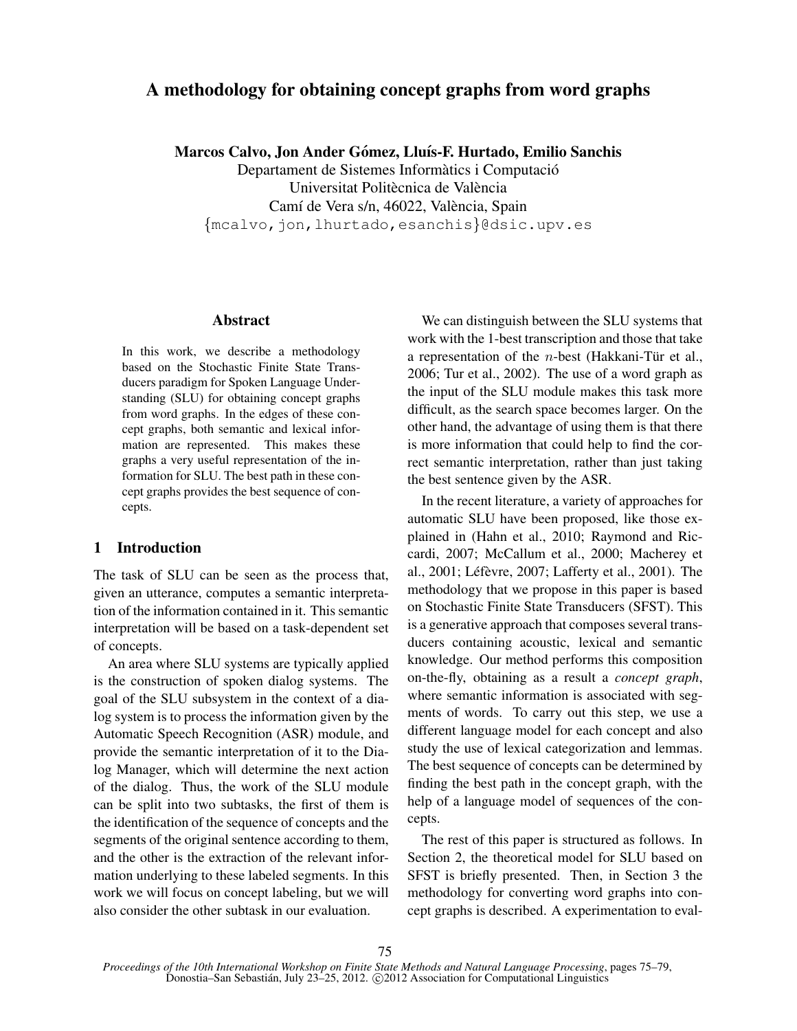# A methodology for obtaining concept graphs from word graphs

Marcos Calvo, Jon Ander Gómez, Lluís-F. Hurtado, Emilio Sanchis

Departament de Sistemes Informàtics i Computació Universitat Politècnica de València Camí de Vera s/n, 46022, València, Spain {mcalvo,jon,lhurtado,esanchis}@dsic.upv.es

# Abstract

In this work, we describe a methodology based on the Stochastic Finite State Transducers paradigm for Spoken Language Understanding (SLU) for obtaining concept graphs from word graphs. In the edges of these concept graphs, both semantic and lexical information are represented. This makes these graphs a very useful representation of the information for SLU. The best path in these concept graphs provides the best sequence of concepts.

# 1 Introduction

The task of SLU can be seen as the process that, given an utterance, computes a semantic interpretation of the information contained in it. This semantic interpretation will be based on a task-dependent set of concepts.

An area where SLU systems are typically applied is the construction of spoken dialog systems. The goal of the SLU subsystem in the context of a dialog system is to process the information given by the Automatic Speech Recognition (ASR) module, and provide the semantic interpretation of it to the Dialog Manager, which will determine the next action of the dialog. Thus, the work of the SLU module can be split into two subtasks, the first of them is the identification of the sequence of concepts and the segments of the original sentence according to them, and the other is the extraction of the relevant information underlying to these labeled segments. In this work we will focus on concept labeling, but we will also consider the other subtask in our evaluation.

We can distinguish between the SLU systems that work with the 1-best transcription and those that take a representation of the  $n$ -best (Hakkani-Tür et al., 2006; Tur et al., 2002). The use of a word graph as the input of the SLU module makes this task more difficult, as the search space becomes larger. On the other hand, the advantage of using them is that there is more information that could help to find the correct semantic interpretation, rather than just taking the best sentence given by the ASR.

In the recent literature, a variety of approaches for automatic SLU have been proposed, like those explained in (Hahn et al., 2010; Raymond and Riccardi, 2007; McCallum et al., 2000; Macherey et al., 2001; Léfèvre, 2007; Lafferty et al., 2001). The methodology that we propose in this paper is based on Stochastic Finite State Transducers (SFST). This is a generative approach that composes several transducers containing acoustic, lexical and semantic knowledge. Our method performs this composition on-the-fly, obtaining as a result a *concept graph*, where semantic information is associated with segments of words. To carry out this step, we use a different language model for each concept and also study the use of lexical categorization and lemmas. The best sequence of concepts can be determined by finding the best path in the concept graph, with the help of a language model of sequences of the concepts.

The rest of this paper is structured as follows. In Section 2, the theoretical model for SLU based on SFST is briefly presented. Then, in Section 3 the methodology for converting word graphs into concept graphs is described. A experimentation to eval-

*Proceedings of the 10th International Workshop on Finite State Methods and Natural Language Processing*, pages 75–79, Donostia–San Sebastián, July 23–25, 2012. © 2012 Association for Computational Linguistics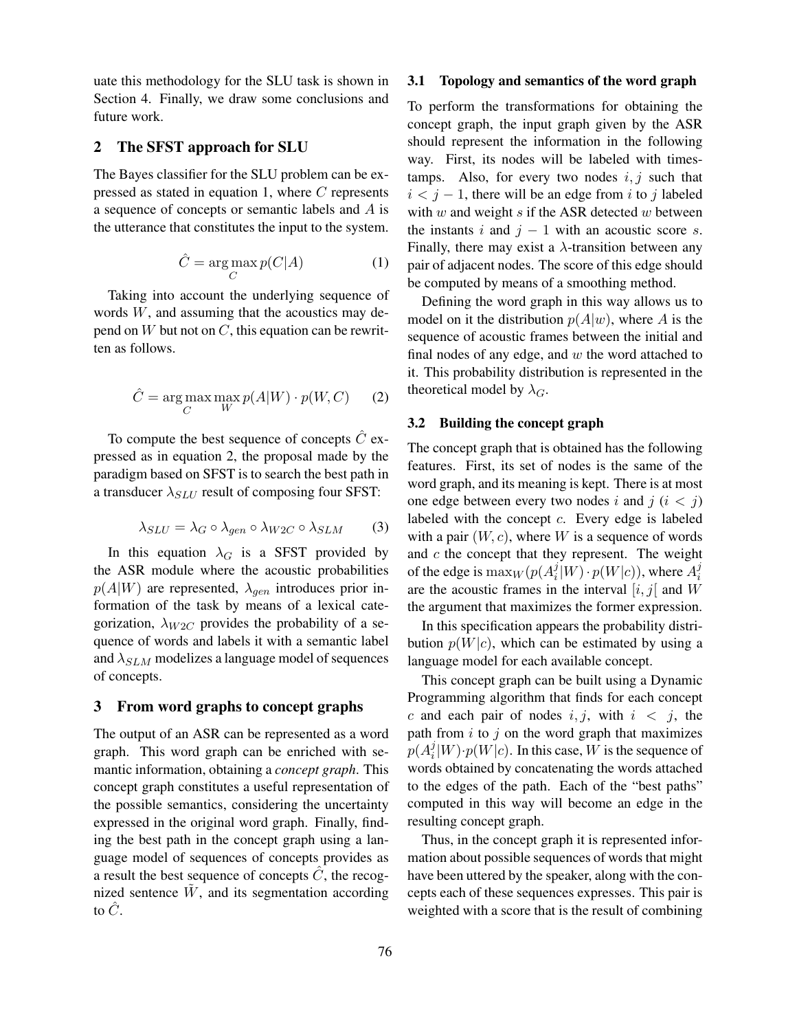uate this methodology for the SLU task is shown in Section 4. Finally, we draw some conclusions and future work.

# 2 The SFST approach for SLU

The Bayes classifier for the SLU problem can be expressed as stated in equation 1, where C represents a sequence of concepts or semantic labels and A is the utterance that constitutes the input to the system.

$$
\hat{C} = \underset{C}{\text{arg}\max} p(C|A) \tag{1}
$$

Taking into account the underlying sequence of words  $W$ , and assuming that the acoustics may depend on  $W$  but not on  $C$ , this equation can be rewritten as follows.

$$
\hat{C} = \underset{C}{\text{arg max}} \max_{W} p(A|W) \cdot p(W, C) \qquad (2)
$$

To compute the best sequence of concepts  $\ddot{C}$  expressed as in equation 2, the proposal made by the paradigm based on SFST is to search the best path in a transducer  $\lambda_{SLU}$  result of composing four SFST:

$$
\lambda_{SLU} = \lambda_G \circ \lambda_{gen} \circ \lambda_{W2C} \circ \lambda_{SLM} \tag{3}
$$

In this equation  $\lambda_G$  is a SFST provided by the ASR module where the acoustic probabilities  $p(A|W)$  are represented,  $\lambda_{gen}$  introduces prior information of the task by means of a lexical categorization,  $\lambda_{W2C}$  provides the probability of a sequence of words and labels it with a semantic label and  $\lambda_{SLM}$  modelizes a language model of sequences of concepts.

# 3 From word graphs to concept graphs

The output of an ASR can be represented as a word graph. This word graph can be enriched with semantic information, obtaining a *concept graph*. This concept graph constitutes a useful representation of the possible semantics, considering the uncertainty expressed in the original word graph. Finally, finding the best path in the concept graph using a language model of sequences of concepts provides as a result the best sequence of concepts  $\ddot{C}$ , the recognized sentence  $\tilde{W}$ , and its segmentation according to  $\ddot{C}$ .

#### 3.1 Topology and semantics of the word graph

To perform the transformations for obtaining the concept graph, the input graph given by the ASR should represent the information in the following way. First, its nodes will be labeled with timestamps. Also, for every two nodes  $i, j$  such that  $i < j - 1$ , there will be an edge from i to j labeled with  $w$  and weight  $s$  if the ASR detected  $w$  between the instants i and  $j - 1$  with an acoustic score s. Finally, there may exist a  $\lambda$ -transition between any pair of adjacent nodes. The score of this edge should be computed by means of a smoothing method.

Defining the word graph in this way allows us to model on it the distribution  $p(A|w)$ , where A is the sequence of acoustic frames between the initial and final nodes of any edge, and  $w$  the word attached to it. This probability distribution is represented in the theoretical model by  $\lambda_G$ .

#### 3.2 Building the concept graph

The concept graph that is obtained has the following features. First, its set of nodes is the same of the word graph, and its meaning is kept. There is at most one edge between every two nodes i and  $j$   $(i < j)$ labeled with the concept c. Every edge is labeled with a pair  $(W, c)$ , where W is a sequence of words and  $c$  the concept that they represent. The weight of the edge is  $\max_W (p(A_i^j))$  $\frac{j}{i}[W]\cdot p(W|c)$ ), where  $A_i^j$ i are the acoustic frames in the interval  $[i, j]$  and  $W$ the argument that maximizes the former expression.

In this specification appears the probability distribution  $p(W|c)$ , which can be estimated by using a language model for each available concept.

This concept graph can be built using a Dynamic Programming algorithm that finds for each concept c and each pair of nodes  $i, j$ , with  $i < j$ , the path from  $i$  to  $j$  on the word graph that maximizes  $p(A_i^j)$  $i^{\jmath}|W) \cdot p(W|c)$ . In this case, W is the sequence of words obtained by concatenating the words attached to the edges of the path. Each of the "best paths" computed in this way will become an edge in the resulting concept graph.

Thus, in the concept graph it is represented information about possible sequences of words that might have been uttered by the speaker, along with the concepts each of these sequences expresses. This pair is weighted with a score that is the result of combining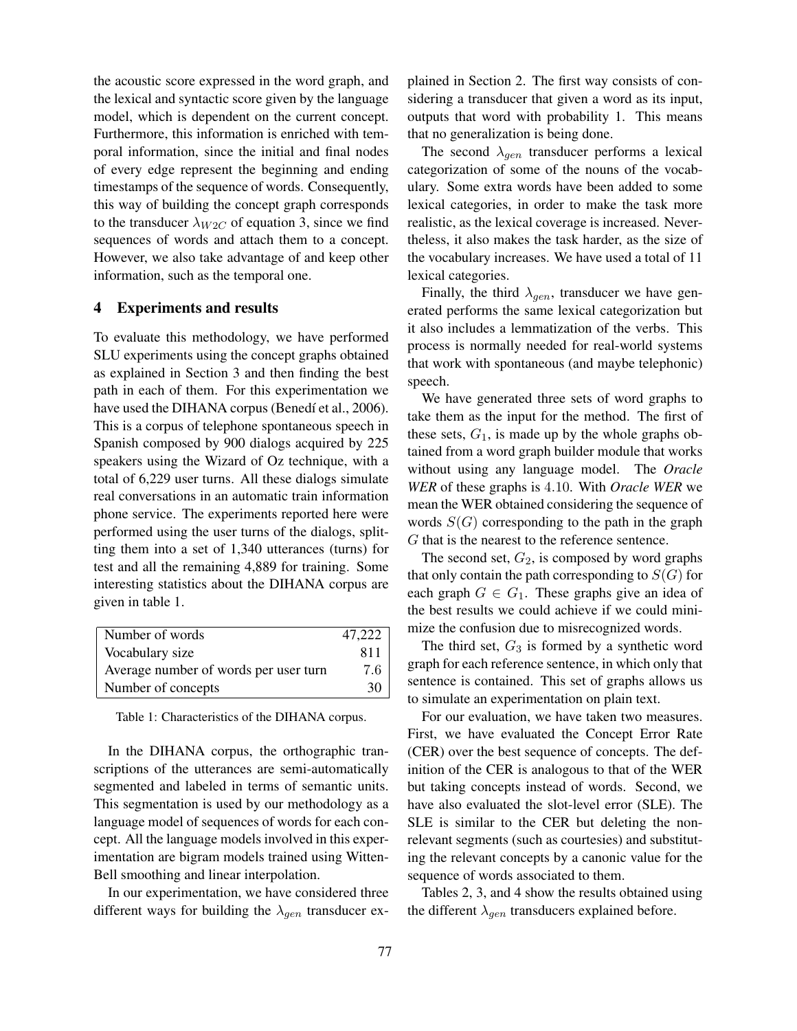the acoustic score expressed in the word graph, and the lexical and syntactic score given by the language model, which is dependent on the current concept. Furthermore, this information is enriched with temporal information, since the initial and final nodes of every edge represent the beginning and ending timestamps of the sequence of words. Consequently, this way of building the concept graph corresponds to the transducer  $\lambda_{W2C}$  of equation 3, since we find sequences of words and attach them to a concept. However, we also take advantage of and keep other information, such as the temporal one.

# 4 Experiments and results

To evaluate this methodology, we have performed SLU experiments using the concept graphs obtained as explained in Section 3 and then finding the best path in each of them. For this experimentation we have used the DIHANA corpus (Benedí et al., 2006). This is a corpus of telephone spontaneous speech in Spanish composed by 900 dialogs acquired by 225 speakers using the Wizard of Oz technique, with a total of 6,229 user turns. All these dialogs simulate real conversations in an automatic train information phone service. The experiments reported here were performed using the user turns of the dialogs, splitting them into a set of 1,340 utterances (turns) for test and all the remaining 4,889 for training. Some interesting statistics about the DIHANA corpus are given in table 1.

| Number of words                       | 47,222 |
|---------------------------------------|--------|
| Vocabulary size                       | 811    |
| Average number of words per user turn | 7.6    |
| Number of concepts                    | 30     |

Table 1: Characteristics of the DIHANA corpus.

In the DIHANA corpus, the orthographic transcriptions of the utterances are semi-automatically segmented and labeled in terms of semantic units. This segmentation is used by our methodology as a language model of sequences of words for each concept. All the language models involved in this experimentation are bigram models trained using Witten-Bell smoothing and linear interpolation.

In our experimentation, we have considered three different ways for building the  $\lambda_{gen}$  transducer explained in Section 2. The first way consists of considering a transducer that given a word as its input, outputs that word with probability 1. This means that no generalization is being done.

The second  $\lambda_{gen}$  transducer performs a lexical categorization of some of the nouns of the vocabulary. Some extra words have been added to some lexical categories, in order to make the task more realistic, as the lexical coverage is increased. Nevertheless, it also makes the task harder, as the size of the vocabulary increases. We have used a total of 11 lexical categories.

Finally, the third  $\lambda_{gen}$ , transducer we have generated performs the same lexical categorization but it also includes a lemmatization of the verbs. This process is normally needed for real-world systems that work with spontaneous (and maybe telephonic) speech.

We have generated three sets of word graphs to take them as the input for the method. The first of these sets,  $G_1$ , is made up by the whole graphs obtained from a word graph builder module that works without using any language model. The *Oracle WER* of these graphs is 4.10. With *Oracle WER* we mean the WER obtained considering the sequence of words  $S(G)$  corresponding to the path in the graph G that is the nearest to the reference sentence.

The second set,  $G_2$ , is composed by word graphs that only contain the path corresponding to  $S(G)$  for each graph  $G \in G_1$ . These graphs give an idea of the best results we could achieve if we could minimize the confusion due to misrecognized words.

The third set,  $G_3$  is formed by a synthetic word graph for each reference sentence, in which only that sentence is contained. This set of graphs allows us to simulate an experimentation on plain text.

For our evaluation, we have taken two measures. First, we have evaluated the Concept Error Rate (CER) over the best sequence of concepts. The definition of the CER is analogous to that of the WER but taking concepts instead of words. Second, we have also evaluated the slot-level error (SLE). The SLE is similar to the CER but deleting the nonrelevant segments (such as courtesies) and substituting the relevant concepts by a canonic value for the sequence of words associated to them.

Tables 2, 3, and 4 show the results obtained using the different  $\lambda_{gen}$  transducers explained before.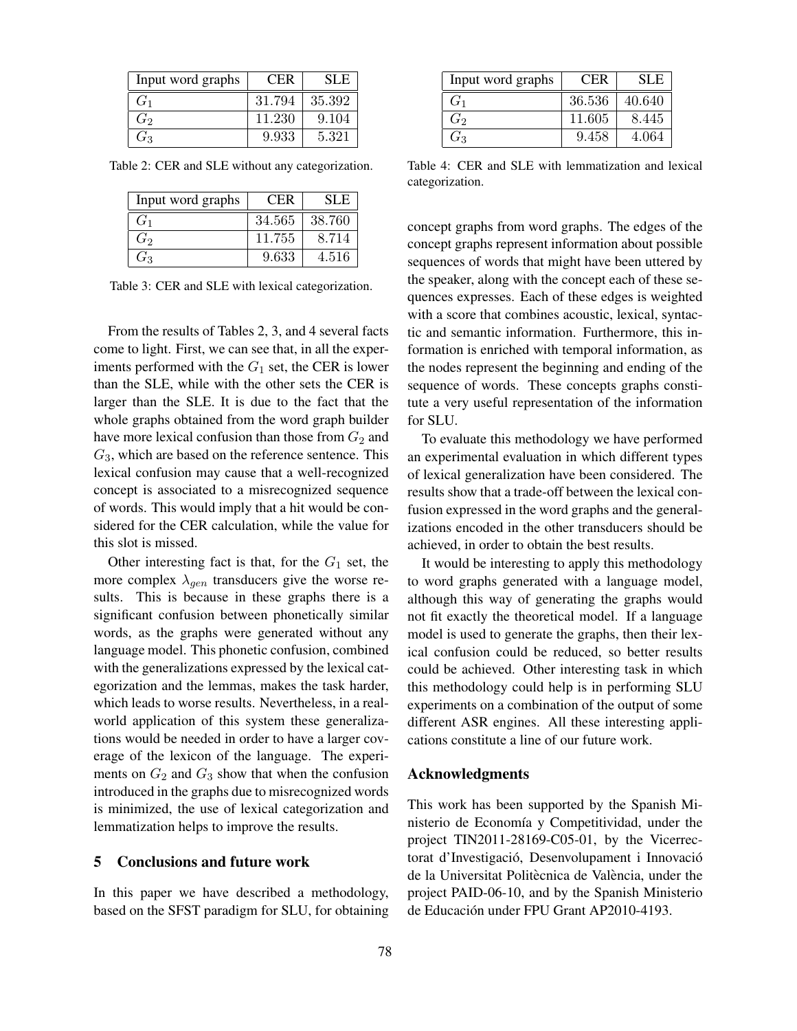| Input word graphs | <b>CER</b> | SLE    |
|-------------------|------------|--------|
| G <sub>1</sub>    | 31.794     | 35.392 |
| $G_2$             | 11.230     | 9.104  |
| $G_3$             | 9.933      | 5.321  |

Table 2: CER and SLE without any categorization.

| Input word graphs | <b>CER</b> | SLE.   |
|-------------------|------------|--------|
| $G_1$             | 34.565     | 38.760 |
| $G_2$             | 11.755     | 8.714  |
| $G_3$             | 9.633      | 4.516  |

Table 3: CER and SLE with lexical categorization.

From the results of Tables 2, 3, and 4 several facts come to light. First, we can see that, in all the experiments performed with the  $G_1$  set, the CER is lower than the SLE, while with the other sets the CER is larger than the SLE. It is due to the fact that the whole graphs obtained from the word graph builder have more lexical confusion than those from  $G_2$  and  $G_3$ , which are based on the reference sentence. This lexical confusion may cause that a well-recognized concept is associated to a misrecognized sequence of words. This would imply that a hit would be considered for the CER calculation, while the value for this slot is missed.

Other interesting fact is that, for the  $G_1$  set, the more complex  $\lambda_{gen}$  transducers give the worse results. This is because in these graphs there is a significant confusion between phonetically similar words, as the graphs were generated without any language model. This phonetic confusion, combined with the generalizations expressed by the lexical categorization and the lemmas, makes the task harder, which leads to worse results. Nevertheless, in a realworld application of this system these generalizations would be needed in order to have a larger coverage of the lexicon of the language. The experiments on  $G_2$  and  $G_3$  show that when the confusion introduced in the graphs due to misrecognized words is minimized, the use of lexical categorization and lemmatization helps to improve the results.

#### 5 Conclusions and future work

In this paper we have described a methodology, based on the SFST paradigm for SLU, for obtaining

| Input word graphs | <b>CER</b> | SLE    |
|-------------------|------------|--------|
| G <sub>1</sub>    | 36.536     | 40.640 |
| $G_2$             | 11.605     | 8.445  |
| $G_3$             | 9.458      | 4.064  |

Table 4: CER and SLE with lemmatization and lexical categorization.

concept graphs from word graphs. The edges of the concept graphs represent information about possible sequences of words that might have been uttered by the speaker, along with the concept each of these sequences expresses. Each of these edges is weighted with a score that combines acoustic, lexical, syntactic and semantic information. Furthermore, this information is enriched with temporal information, as the nodes represent the beginning and ending of the sequence of words. These concepts graphs constitute a very useful representation of the information for SLU.

To evaluate this methodology we have performed an experimental evaluation in which different types of lexical generalization have been considered. The results show that a trade-off between the lexical confusion expressed in the word graphs and the generalizations encoded in the other transducers should be achieved, in order to obtain the best results.

It would be interesting to apply this methodology to word graphs generated with a language model, although this way of generating the graphs would not fit exactly the theoretical model. If a language model is used to generate the graphs, then their lexical confusion could be reduced, so better results could be achieved. Other interesting task in which this methodology could help is in performing SLU experiments on a combination of the output of some different ASR engines. All these interesting applications constitute a line of our future work.

#### Acknowledgments

This work has been supported by the Spanish Ministerio de Economía y Competitividad, under the project TIN2011-28169-C05-01, by the Vicerrectorat d'Investigació, Desenvolupament i Innovació de la Universitat Politècnica de València, under the project PAID-06-10, and by the Spanish Ministerio de Educación under FPU Grant AP2010-4193.